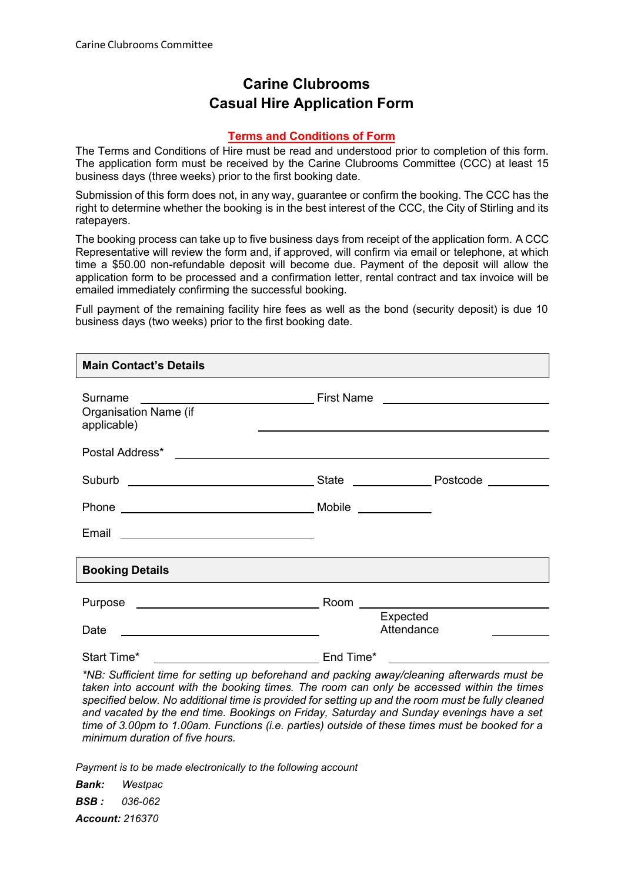## **Carine Clubrooms Casual Hire Application Form**

## **Terms and Conditions of Form**

The Terms and Conditions of Hire must be read and understood prior to completion of this form. The application form must be received by the Carine Clubrooms Committee (CCC) at least 15 business days (three weeks) prior to the first booking date.

Submission of this form does not, in any way, guarantee or confirm the booking. The CCC has the right to determine whether the booking is in the best interest of the CCC, the City of Stirling and its ratepayers.

The booking process can take up to five business days from receipt of the application form. A CCC Representative will review the form and, if approved, will confirm via email or telephone, at which time a \$50.00 non-refundable deposit will become due. Payment of the deposit will allow the application form to be processed and a confirmation letter, rental contract and tax invoice will be emailed immediately confirming the successful booking.

Full payment of the remaining facility hire fees as well as the bond (security deposit) is due 10 business days (two weeks) prior to the first booking date.

| <b>Main Contact's Details</b>                                      |                                                                                                                  |
|--------------------------------------------------------------------|------------------------------------------------------------------------------------------------------------------|
| Surname<br>Organisation Name (if<br>applicable)                    | and the control of the control of the control of the control of the control of the control of the control of the |
|                                                                    |                                                                                                                  |
|                                                                    |                                                                                                                  |
| Phone Mobile Mobile Mobile Phone                                   |                                                                                                                  |
|                                                                    |                                                                                                                  |
| <b>Booking Details</b>                                             |                                                                                                                  |
| Purpose ________________________________                           |                                                                                                                  |
| Date<br><u> 1980 - Johann Barbara, martxa alemaniar amerikan a</u> | Expected<br>Attendance                                                                                           |
| Start Time*                                                        | End Time*                                                                                                        |

*\*NB: Sufficient time for setting up beforehand and packing away/cleaning afterwards must be taken into account with the booking times. The room can only be accessed within the times specified below. No additional time is provided for setting up and the room must be fully cleaned and vacated by the end time. Bookings on Friday, Saturday and Sunday evenings have a set time of 3.00pm to 1.00am. Functions (i.e. parties) outside of these times must be booked for a minimum duration of five hours.*

*Payment is to be made electronically to the following account*

*Bank: Westpac BSB : 036-062 Account: 216370*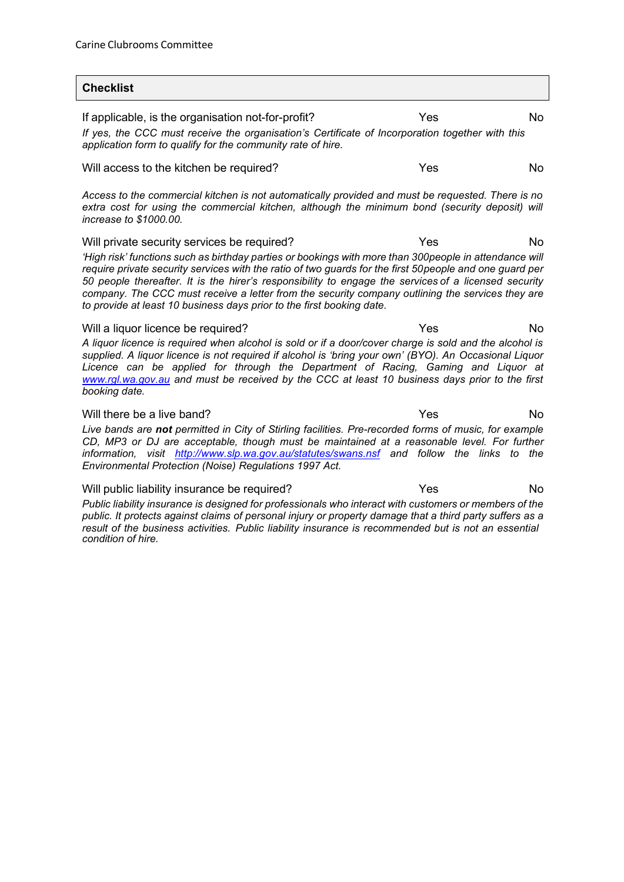$\overline{\phantom{a}}$ 

| <b>Checklist</b>                                                                                                                                                                                                                                                                                                                                                                                                                                                                                                                                                     |     |     |
|----------------------------------------------------------------------------------------------------------------------------------------------------------------------------------------------------------------------------------------------------------------------------------------------------------------------------------------------------------------------------------------------------------------------------------------------------------------------------------------------------------------------------------------------------------------------|-----|-----|
| If applicable, is the organisation not-for-profit?<br>If yes, the CCC must receive the organisation's Certificate of Incorporation together with this<br>application form to qualify for the community rate of hire.                                                                                                                                                                                                                                                                                                                                                 | Yes | No  |
| Will access to the kitchen be required?                                                                                                                                                                                                                                                                                                                                                                                                                                                                                                                              | Yes | No. |
| Access to the commercial kitchen is not automatically provided and must be requested. There is no<br>extra cost for using the commercial kitchen, although the minimum bond (security deposit) will<br>increase to \$1000.00.                                                                                                                                                                                                                                                                                                                                        |     |     |
| Yes<br>Will private security services be required?<br>No.<br>'High risk' functions such as birthday parties or bookings with more than 300people in attendance will<br>require private security services with the ratio of two guards for the first 50 people and one guard per<br>50 people thereafter. It is the hirer's responsibility to engage the services of a licensed security<br>company. The CCC must receive a letter from the security company outlining the services they are<br>to provide at least 10 business days prior to the first booking date. |     |     |
| Yes<br>Will a liquor licence be required?<br>No.<br>A liquor licence is required when alcohol is sold or if a door/cover charge is sold and the alcohol is<br>supplied. A liquor licence is not required if alcohol is 'bring your own' (BYO). An Occasional Liquor<br>Licence can be applied for through the Department of Racing, Gaming and Liquor at<br>www.rgl.wa.gov.au and must be received by the CCC at least 10 business days prior to the first<br>booking date.                                                                                          |     |     |
| Will there be a live band?<br>Live bands are not permitted in City of Stirling facilities. Pre-recorded forms of music, for example<br>CD, MP3 or DJ are acceptable, though must be maintained at a reasonable level. For further<br>information, visit http://www.slp.wa.gov.au/statutes/swans.nsf and follow the links to the<br>Environmental Protection (Noise) Regulations 1997 Act.                                                                                                                                                                            | Yes | No. |
| Will public liability insurance be required?<br>Public liability insurance is designed for professionals who interact with customers or members of the<br>public. It protects against claims of personal injury or property damage that a third party suffers as a                                                                                                                                                                                                                                                                                                   | Yes | No. |

public. It protects against claims of personal injury or property damage that a third party suffers as a *result of the business activities. Public liability insurance is recommended but is not an essential condition of hire.*